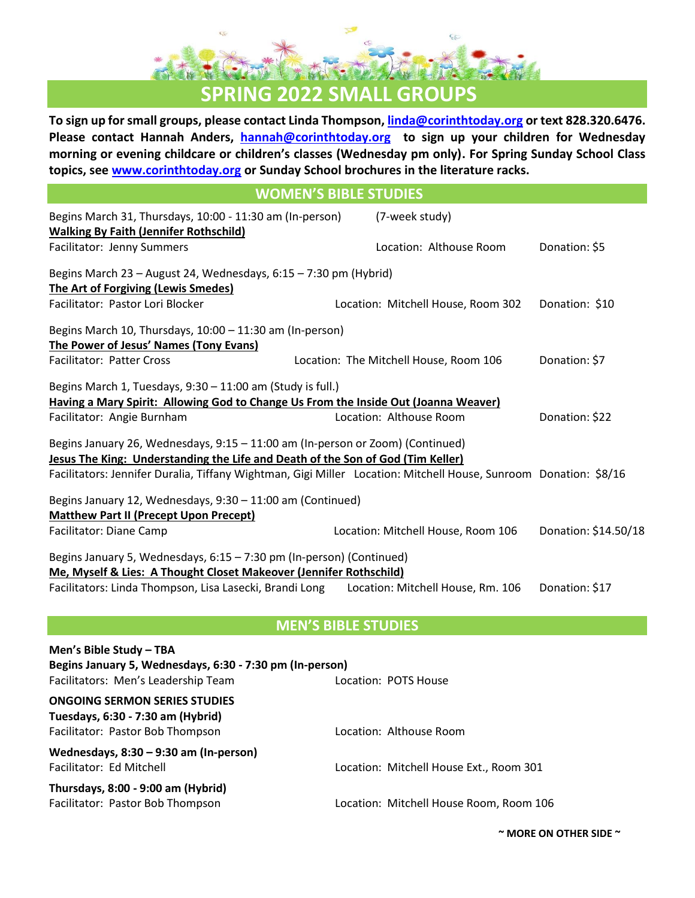# **SPRING 2022 SMALL GROUPS**

l

l,

**Men's Bible Study – TBA**

**To sign up for small groups, please contact Linda Thompson[, linda@corinthtoday.org](mailto:linda@corinthtoday.org) or text 828.320.6476. Please contact Hannah Anders, [hannah@corinthtoday.org](mailto:hannah@corinthtoday.org) to sign up your children for Wednesday morning or evening childcare or children's classes (Wednesday pm only). For Spring Sunday School Class topics, see [www.corinthtoday.org](http://www.corinthtoday.org/) or Sunday School brochures in the literature racks.**

#### **WOMEN'S BIBLE STUDIES**

| Begins March 31, Thursdays, 10:00 - 11:30 am (In-person)                                                         |  | (7-week study)                         |                      |
|------------------------------------------------------------------------------------------------------------------|--|----------------------------------------|----------------------|
| <b>Walking By Faith (Jennifer Rothschild)</b>                                                                    |  |                                        |                      |
| Facilitator: Jenny Summers                                                                                       |  | Location: Althouse Room                | Donation: \$5        |
| Begins March 23 - August 24, Wednesdays, 6:15 - 7:30 pm (Hybrid)                                                 |  |                                        |                      |
| <b>The Art of Forgiving (Lewis Smedes)</b>                                                                       |  |                                        |                      |
| Facilitator: Pastor Lori Blocker                                                                                 |  | Location: Mitchell House, Room 302     | Donation: \$10       |
| Begins March 10, Thursdays, 10:00 - 11:30 am (In-person)                                                         |  |                                        |                      |
| The Power of Jesus' Names (Tony Evans)                                                                           |  |                                        |                      |
| <b>Facilitator: Patter Cross</b>                                                                                 |  | Location: The Mitchell House, Room 106 | Donation: \$7        |
| Begins March 1, Tuesdays, 9:30 - 11:00 am (Study is full.)                                                       |  |                                        |                      |
| Having a Mary Spirit: Allowing God to Change Us From the Inside Out (Joanna Weaver)                              |  |                                        |                      |
| Facilitator: Angie Burnham                                                                                       |  | Location: Althouse Room                | Donation: \$22       |
| Begins January 26, Wednesdays, 9:15 - 11:00 am (In-person or Zoom) (Continued)                                   |  |                                        |                      |
| Jesus The King: Understanding the Life and Death of the Son of God (Tim Keller)                                  |  |                                        |                      |
| Facilitators: Jennifer Duralia, Tiffany Wightman, Gigi Miller Location: Mitchell House, Sunroom Donation: \$8/16 |  |                                        |                      |
| Begins January 12, Wednesdays, 9:30 - 11:00 am (Continued)                                                       |  |                                        |                      |
| <b>Matthew Part II (Precept Upon Precept)</b>                                                                    |  |                                        |                      |
| Facilitator: Diane Camp                                                                                          |  | Location: Mitchell House, Room 106     | Donation: \$14.50/18 |
|                                                                                                                  |  |                                        |                      |
| Begins January 5, Wednesdays, 6:15 - 7:30 pm (In-person) (Continued)                                             |  |                                        |                      |
| Me, Myself & Lies: A Thought Closet Makeover (Jennifer Rothschild)                                               |  |                                        |                      |
| Facilitators: Linda Thompson, Lisa Lasecki, Brandi Long Location: Mitchell House, Rm. 106                        |  |                                        | Donation: \$17       |

## **MEN'S BIBLE STUDIES**

**Begins January 5, Wednesdays, 6:30 - 7:30 pm (In-person)** Facilitators: Men's Leadership Team Location: POTS House **ONGOING SERMON SERIES STUDIES Tuesdays, 6:30 - 7:30 am (Hybrid)** Facilitator: Pastor Bob Thompson **Location: Althouse Room Wednesdays, 8:30 – 9:30 am (In-person)** Facilitator: Ed Mitchell **Location: Mitchell House Ext., Room 301 Thursdays, 8:00 - 9:00 am (Hybrid)** Facilitator: Pastor Bob Thompson Location: Mitchell House Room, Room 106

**~ MORE ON OTHER SIDE ~**